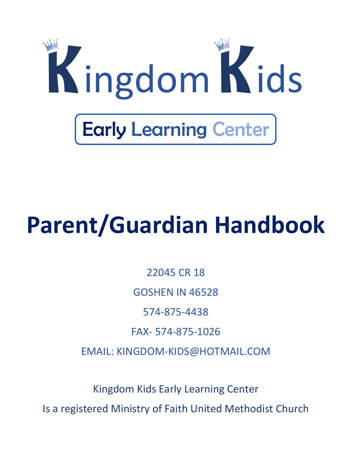

# **Parent/Guardian Handbook**

22045 CR 18 GOSHEN IN 46528 574-875-4438 FAX- 574-875-1026 EMAIL: KINGDOM-KIDS@HOTMAIL.COM

Kingdom Kids Early Learning Center Is a registered Ministry of Faith United Methodist Church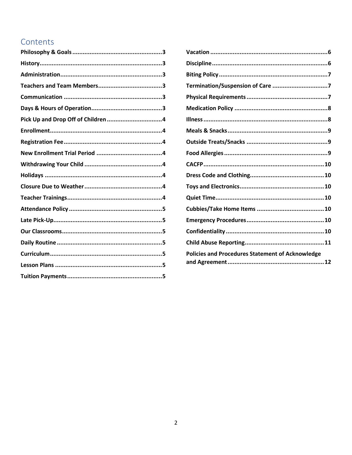# Contents

| Termination/Suspension of Care 7                        |
|---------------------------------------------------------|
|                                                         |
|                                                         |
|                                                         |
|                                                         |
|                                                         |
|                                                         |
|                                                         |
|                                                         |
|                                                         |
|                                                         |
|                                                         |
|                                                         |
|                                                         |
|                                                         |
| <b>Policies and Procedures Statement of Acknowledge</b> |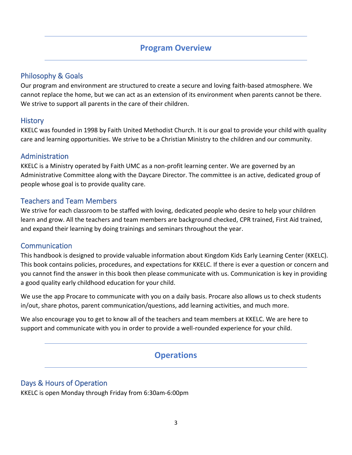## **Program Overview**

## <span id="page-2-0"></span>Philosophy & Goals

Our program and environment are structured to create a secure and loving faith-based atmosphere. We cannot replace the home, but we can act as an extension of its environment when parents cannot be there. We strive to support all parents in the care of their children.

## <span id="page-2-1"></span>**History**

KKELC was founded in 1998 by Faith United Methodist Church. It is our goal to provide your child with quality care and learning opportunities. We strive to be a Christian Ministry to the children and our community.

## <span id="page-2-2"></span>Administration

KKELC is a Ministry operated by Faith UMC as a non-profit learning center. We are governed by an Administrative Committee along with the Daycare Director. The committee is an active, dedicated group of people whose goal is to provide quality care.

## <span id="page-2-3"></span>Teachers and Team Members

We strive for each classroom to be staffed with loving, dedicated people who desire to help your children learn and grow. All the teachers and team members are background checked, CPR trained, First Aid trained, and expand their learning by doing trainings and seminars throughout the year.

## <span id="page-2-4"></span>Communication

This handbook is designed to provide valuable information about Kingdom Kids Early Learning Center (KKELC). This book contains policies, procedures, and expectations for KKELC. If there is ever a question or concern and you cannot find the answer in this book then please communicate with us. Communication is key in providing a good quality early childhood education for your child.

We use the app Procare to communicate with you on a daily basis. Procare also allows us to check students in/out, share photos, parent communication/questions, add learning activities, and much more.

We also encourage you to get to know all of the teachers and team members at KKELC. We are here to support and communicate with you in order to provide a well-rounded experience for your child.

# **Operations**

## <span id="page-2-5"></span>Days & Hours of Operation

KKELC is open Monday through Friday from 6:30am-6:00pm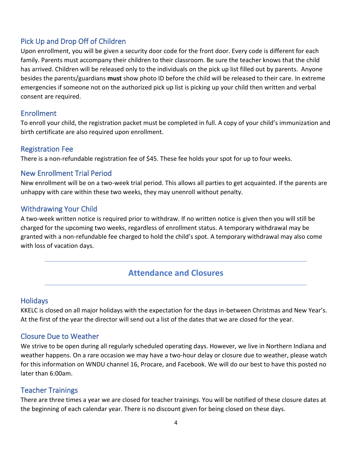## <span id="page-3-0"></span>Pick Up and Drop Off of Children

Upon enrollment, you will be given a security door code for the front door. Every code is different for each family. Parents must accompany their children to their classroom. Be sure the teacher knows that the child has arrived. Children will be released only to the individuals on the pick up list filled out by parents. Anyone besides the parents/guardians **must** show photo ID before the child will be released to their care. In extreme emergencies if someone not on the authorized pick up list is picking up your child then written and verbal consent are required.

#### <span id="page-3-1"></span>Enrollment

To enroll your child, the registration packet must be completed in full. A copy of your child's immunization and birth certificate are also required upon enrollment.

## <span id="page-3-2"></span>Registration Fee

There is a non-refundable registration fee of \$45. These fee holds your spot for up to four weeks.

## <span id="page-3-3"></span>New Enrollment Trial Period

New enrollment will be on a two-week trial period. This allows all parties to get acquainted. If the parents are unhappy with care within these two weeks, they may unenroll without penalty.

## <span id="page-3-4"></span>Withdrawing Your Child

A two-week written notice is required prior to withdraw. If no written notice is given then you will still be charged for the upcoming two weeks, regardless of enrollment status. A temporary withdrawal may be granted with a non-refundable fee charged to hold the child's spot. A temporary withdrawal may also come with loss of vacation days.

## **Attendance and Closures**

## <span id="page-3-5"></span>**Holidays**

KKELC is closed on all major holidays with the expectation for the days in-between Christmas and New Year's. At the first of the year the director will send out a list of the dates that we are closed for the year.

## <span id="page-3-6"></span>Closure Due to Weather

We strive to be open during all regularly scheduled operating days. However, we live in Northern Indiana and weather happens. On a rare occasion we may have a two-hour delay or closure due to weather, please watch for this information on WNDU channel 16, Procare, and Facebook. We will do our best to have this posted no later than 6:00am.

## <span id="page-3-7"></span>Teacher Trainings

There are three times a year we are closed for teacher trainings. You will be notified of these closure dates at the beginning of each calendar year. There is no discount given for being closed on these days.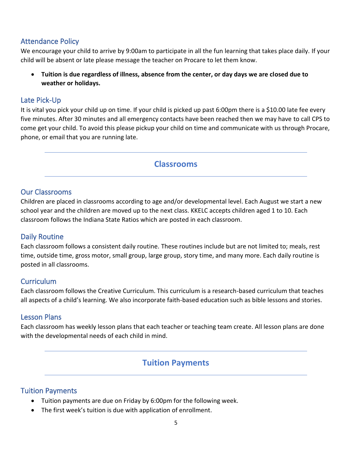## <span id="page-4-0"></span>Attendance Policy

We encourage your child to arrive by 9:00am to participate in all the fun learning that takes place daily. If your child will be absent or late please message the teacher on Procare to let them know.

• **Tuition is due regardless of illness, absence from the center, or day days we are closed due to weather or holidays.** 

## <span id="page-4-1"></span>Late Pick-Up

It is vital you pick your child up on time. If your child is picked up past 6:00pm there is a \$10.00 late fee every five minutes. After 30 minutes and all emergency contacts have been reached then we may have to call CPS to come get your child. To avoid this please pickup your child on time and communicate with us through Procare, phone, or email that you are running late.

## **Classrooms**

## <span id="page-4-2"></span>Our Classrooms

Children are placed in classrooms according to age and/or developmental level. Each August we start a new school year and the children are moved up to the next class. KKELC accepts children aged 1 to 10. Each classroom follows the Indiana State Ratios which are posted in each classroom.

## <span id="page-4-3"></span>Daily Routine

Each classroom follows a consistent daily routine. These routines include but are not limited to; meals, rest time, outside time, gross motor, small group, large group, story time, and many more. Each daily routine is posted in all classrooms.

## <span id="page-4-4"></span>**Curriculum**

Each classroom follows the Creative Curriculum. This curriculum is a research-based curriculum that teaches all aspects of a child's learning. We also incorporate faith-based education such as bible lessons and stories.

## <span id="page-4-5"></span>Lesson Plans

Each classroom has weekly lesson plans that each teacher or teaching team create. All lesson plans are done with the developmental needs of each child in mind.

## **Tuition Payments**

## <span id="page-4-6"></span>Tuition Payments

- Tuition payments are due on Friday by 6:00pm for the following week.
- The first week's tuition is due with application of enrollment.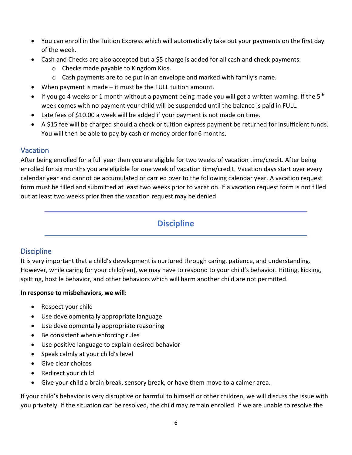- You can enroll in the Tuition Express which will automatically take out your payments on the first day of the week.
- Cash and Checks are also accepted but a \$5 charge is added for all cash and check payments.
	- o Checks made payable to Kingdom Kids.
	- $\circ$  Cash payments are to be put in an envelope and marked with family's name.
- When payment is made it must be the FULL tuition amount.
- If you go 4 weeks or 1 month without a payment being made you will get a written warning. If the  $5<sup>th</sup>$ week comes with no payment your child will be suspended until the balance is paid in FULL.
- Late fees of \$10.00 a week will be added if your payment is not made on time.
- A \$15 fee will be charged should a check or tuition express payment be returned for insufficient funds. You will then be able to pay by cash or money order for 6 months.

## <span id="page-5-0"></span>Vacation

After being enrolled for a full year then you are eligible for two weeks of vacation time/credit. After being enrolled for six months you are eligible for one week of vacation time/credit. Vacation days start over every calendar year and cannot be accumulated or carried over to the following calendar year. A vacation request form must be filled and submitted at least two weeks prior to vacation. If a vacation request form is not filled out at least two weeks prior then the vacation request may be denied.

# **Discipline**

## <span id="page-5-1"></span>**Discipline**

It is very important that a child's development is nurtured through caring, patience, and understanding. However, while caring for your child(ren), we may have to respond to your child's behavior. Hitting, kicking, spitting, hostile behavior, and other behaviors which will harm another child are not permitted.

## **In response to misbehaviors, we will:**

- Respect your child
- Use developmentally appropriate language
- Use developmentally appropriate reasoning
- Be consistent when enforcing rules
- Use positive language to explain desired behavior
- Speak calmly at your child's level
- Give clear choices
- Redirect your child
- Give your child a brain break, sensory break, or have them move to a calmer area.

If your child's behavior is very disruptive or harmful to himself or other children, we will discuss the issue with you privately. If the situation can be resolved, the child may remain enrolled. If we are unable to resolve the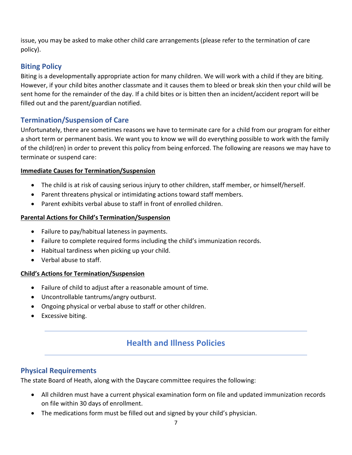issue, you may be asked to make other child care arrangements (please refer to the termination of care policy).

## <span id="page-6-0"></span>**Biting Policy**

Biting is a developmentally appropriate action for many children. We will work with a child if they are biting. However, if your child bites another classmate and it causes them to bleed or break skin then your child will be sent home for the remainder of the day. If a child bites or is bitten then an incident/accident report will be filled out and the parent/guardian notified.

## <span id="page-6-1"></span>**Termination/Suspension of Care**

Unfortunately, there are sometimes reasons we have to terminate care for a child from our program for either a short term or permanent basis. We want you to know we will do everything possible to work with the family of the child(ren) in order to prevent this policy from being enforced. The following are reasons we may have to terminate or suspend care:

#### **Immediate Causes for Termination/Suspension**

- The child is at risk of causing serious injury to other children, staff member, or himself/herself.
- Parent threatens physical or intimidating actions toward staff members.
- Parent exhibits verbal abuse to staff in front of enrolled children.

#### **Parental Actions for Child's Termination/Suspension**

- Failure to pay/habitual lateness in payments.
- Failure to complete required forms including the child's immunization records.
- Habitual tardiness when picking up your child.
- Verbal abuse to staff.

#### **Child's Actions for Termination/Suspension**

- Failure of child to adjust after a reasonable amount of time.
- Uncontrollable tantrums/angry outburst.
- Ongoing physical or verbal abuse to staff or other children.
- Excessive biting.

# **Health and Illness Policies**

## <span id="page-6-2"></span>**Physical Requirements**

The state Board of Heath, along with the Daycare committee requires the following:

- All children must have a current physical examination form on file and updated immunization records on file within 30 days of enrollment.
- The medications form must be filled out and signed by your child's physician.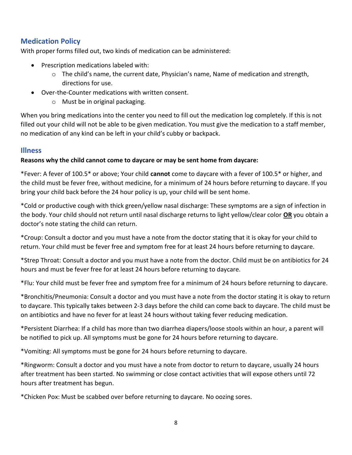## <span id="page-7-0"></span>**Medication Policy**

With proper forms filled out, two kinds of medication can be administered:

- Prescription medications labeled with:
	- $\circ$  The child's name, the current date, Physician's name, Name of medication and strength, directions for use.
- Over-the-Counter medications with written consent.
	- o Must be in original packaging.

When you bring medications into the center you need to fill out the medication log completely. If this is not filled out your child will not be able to be given medication. You must give the medication to a staff member, no medication of any kind can be left in your child's cubby or backpack.

#### <span id="page-7-1"></span>**Illness**

#### **Reasons why the child cannot come to daycare or may be sent home from daycare:**

\*Fever: A fever of 100.5\* or above; Your child **cannot** come to daycare with a fever of 100.5\* or higher, and the child must be fever free, without medicine, for a minimum of 24 hours before returning to daycare. If you bring your child back before the 24 hour policy is up, your child will be sent home.

\*Cold or productive cough with thick green/yellow nasal discharge: These symptoms are a sign of infection in the body. Your child should not return until nasal discharge returns to light yellow/clear color **OR** you obtain a doctor's note stating the child can return.

\*Croup: Consult a doctor and you must have a note from the doctor stating that it is okay for your child to return. Your child must be fever free and symptom free for at least 24 hours before returning to daycare.

\*Strep Throat: Consult a doctor and you must have a note from the doctor. Child must be on antibiotics for 24 hours and must be fever free for at least 24 hours before returning to daycare.

\*Flu: Your child must be fever free and symptom free for a minimum of 24 hours before returning to daycare.

\*Bronchitis/Pneumonia: Consult a doctor and you must have a note from the doctor stating it is okay to return to daycare. This typically takes between 2-3 days before the child can come back to daycare. The child must be on antibiotics and have no fever for at least 24 hours without taking fever reducing medication.

\*Persistent Diarrhea: If a child has more than two diarrhea diapers/loose stools within an hour, a parent will be notified to pick up. All symptoms must be gone for 24 hours before returning to daycare.

\*Vomiting: All symptoms must be gone for 24 hours before returning to daycare.

\*Ringworm: Consult a doctor and you must have a note from doctor to return to daycare, usually 24 hours after treatment has been started. No swimming or close contact activities that will expose others until 72 hours after treatment has begun.

\*Chicken Pox: Must be scabbed over before returning to daycare. No oozing sores.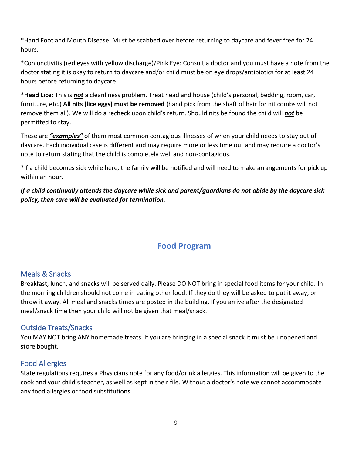\*Hand Foot and Mouth Disease: Must be scabbed over before returning to daycare and fever free for 24 hours.

\*Conjunctivitis (red eyes with yellow discharge)/Pink Eye: Consult a doctor and you must have a note from the doctor stating it is okay to return to daycare and/or child must be on eye drops/antibiotics for at least 24 hours before returning to daycare.

**\*Head Lice**: This is *not* a cleanliness problem. Treat head and house (child's personal, bedding, room, car, furniture, etc.) **All nits (lice eggs) must be removed** (hand pick from the shaft of hair for nit combs will not remove them all). We will do a recheck upon child's return. Should nits be found the child will *not* be permitted to stay.

These are *"examples"* of them most common contagious illnesses of when your child needs to stay out of daycare. Each individual case is different and may require more or less time out and may require a doctor's note to return stating that the child is completely well and non-contagious.

\*If a child becomes sick while here, the family will be notified and will need to make arrangements for pick up within an hour.

*If a child continually attends the daycare while sick and parent/guardians do not abide by the daycare sick policy, then care will be evaluated for termination.*

# **Food Program**

## <span id="page-8-0"></span>Meals & Snacks

Breakfast, lunch, and snacks will be served daily. Please DO NOT bring in special food items for your child. In the morning children should not come in eating other food. If they do they will be asked to put it away, or throw it away. All meal and snacks times are posted in the building. If you arrive after the designated meal/snack time then your child will not be given that meal/snack.

## <span id="page-8-1"></span>Outside Treats/Snacks

You MAY NOT bring ANY homemade treats. If you are bringing in a special snack it must be unopened and store bought.

## <span id="page-8-2"></span>Food Allergies

State regulations requires a Physicians note for any food/drink allergies. This information will be given to the cook and your child's teacher, as well as kept in their file. Without a doctor's note we cannot accommodate any food allergies or food substitutions.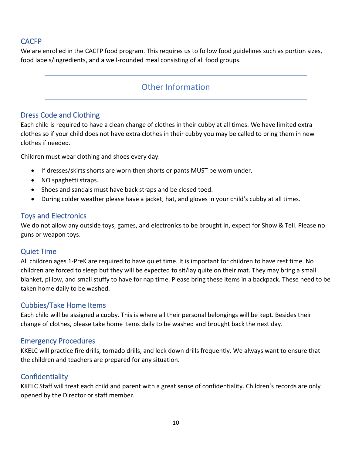## <span id="page-9-0"></span>CACFP

We are enrolled in the CACFP food program. This requires us to follow food guidelines such as portion sizes, food labels/ingredients, and a well-rounded meal consisting of all food groups.

## Other Information

## <span id="page-9-1"></span>Dress Code and Clothing

Each child is required to have a clean change of clothes in their cubby at all times. We have limited extra clothes so if your child does not have extra clothes in their cubby you may be called to bring them in new clothes if needed.

Children must wear clothing and shoes every day.

- If dresses/skirts shorts are worn then shorts or pants MUST be worn under.
- NO spaghetti straps.
- Shoes and sandals must have back straps and be closed toed.
- During colder weather please have a jacket, hat, and gloves in your child's cubby at all times.

## <span id="page-9-2"></span>Toys and Electronics

We do not allow any outside toys, games, and electronics to be brought in, expect for Show & Tell. Please no guns or weapon toys.

## <span id="page-9-3"></span>Quiet Time

All children ages 1-PreK are required to have quiet time. It is important for children to have rest time. No children are forced to sleep but they will be expected to sit/lay quite on their mat. They may bring a small blanket, pillow, and small stuffy to have for nap time. Please bring these items in a backpack. These need to be taken home daily to be washed.

## <span id="page-9-4"></span>Cubbies/Take Home Items

Each child will be assigned a cubby. This is where all their personal belongings will be kept. Besides their change of clothes, please take home items daily to be washed and brought back the next day.

## <span id="page-9-5"></span>Emergency Procedures

KKELC will practice fire drills, tornado drills, and lock down drills frequently. We always want to ensure that the children and teachers are prepared for any situation.

## <span id="page-9-6"></span>**Confidentiality**

KKELC Staff will treat each child and parent with a great sense of confidentiality. Children's records are only opened by the Director or staff member.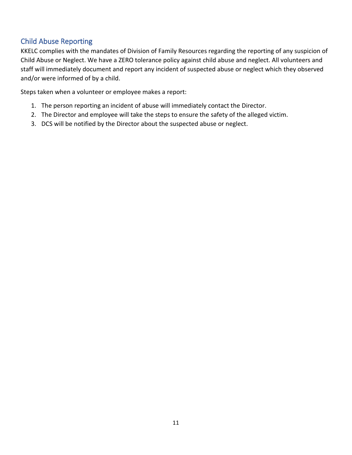## <span id="page-10-0"></span>Child Abuse Reporting

KKELC complies with the mandates of Division of Family Resources regarding the reporting of any suspicion of Child Abuse or Neglect. We have a ZERO tolerance policy against child abuse and neglect. All volunteers and staff will immediately document and report any incident of suspected abuse or neglect which they observed and/or were informed of by a child.

Steps taken when a volunteer or employee makes a report:

- 1. The person reporting an incident of abuse will immediately contact the Director.
- 2. The Director and employee will take the steps to ensure the safety of the alleged victim.
- 3. DCS will be notified by the Director about the suspected abuse or neglect.